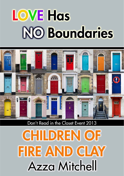# **LOVE Has NO Boundaries**



Don't Read in the Closet Event 2013

**CHILDREN OF** FIRE AND CLAY **Azza Mitchell**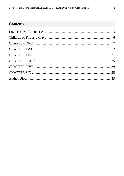### **Contents**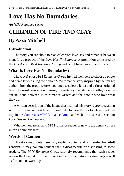## <span id="page-2-0"></span>**Love Has No Boundaries**

*An M/M Romance series*

# **CHILDREN OF FIRE AND CLAY By Azza Mitchell**

### **Introduction**

The story you are about to read celebrates love, sex and romance between men. It is a product of the *Love Has No Boundaries* promotion sponsored by the *Goodreads M/M Romance Group* and is published as a free gift to you.

### **What Is Love Has No Boundaries?**

The *Goodreads M/M Romance Group* invited members to choose a photo and pen a letter asking for a short M/M romance story inspired by the image; authors from the group were encouraged to select a letter and write an original tale. The result was an outpouring of creativity that shone a spotlight on the special bond between M/M romance writers and the people who love what they do.

A written description of the image that inspired this story is provided along with the original request letter. If you'd like to view the photo, please feel free to join the [Goodreads M/M Romance Group](http://www.goodreads.com/group/show/20149-m-m-romance) and visit the discussion section: *Love Has No Boundaries*.

Whether you are an avid M/M romance reader or new to the genre, you are in for a delicious treat.

### **Words of Caution**

This story may contain sexually explicit content and is **intended for adult readers.** It may contain content that is disagreeable or distressing to some readers. The *M/M Romance Group* strongly recommends that each reader review the General Information section before each story for story tags as well as for content warnings.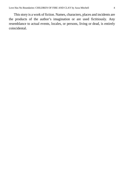This story is a work of fiction. Names, characters, places and incidents are the products of the author's imagination or are used fictitiously. Any resemblance to actual events, locales, or persons, living or dead, is entirely coincidental.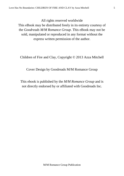All rights reserved worldwide

This eBook may be distributed freely in its entirety courtesy of the *Goodreads M/M Romance Group*. This eBook may not be sold, manipulated or reproduced in any format without the express written permission of the author.

Children of Fire and Clay, Copyright © 2013 Azza Mitchell

Cover Design by Goodreads M/M Romance Group

This ebook is published by the *M/M Romance Group* and is not directly endorsed by or affiliated with Goodreads Inc.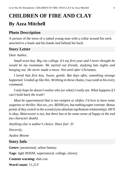# <span id="page-5-0"></span>**CHILDREN OF FIRE AND CLAY By Azza Mitchell**

### **Photo Description**

A picture of the torso of a naked young man with a collar around his neck attached to a leash and his hands tied behind his back.

### **Story Letter**

### *Dear Author*,

*Small town boy. Big city college. It's my first year and I never thought he would be my roommate. We started out friends, studying late nights and hanging out. He never made a move. Not until after Christmas.*

*I loved that first kiss. Sweet, gentle. But days after, something strange happened. I ended up like this. Writhing in these chains, Isuccumb to his every command.*

*I only hope he doesn'trealize who (or what) I really am. What happens if I can't hold back the truth?*

*Must be supernatural that is not vampire or shifter. I'd love to have some suspense orthriller. Hotsex, yes. BDSM yes, but nothing super extreme. Bonus pointsif they switch in the scene(s)(no absolute top/bottom relationship). HFN is okay. Bittersweet is too, but there has to be some sense of happy at the end (no character death).*

*Anything else is author's choice. Have fun! :D*

*Sincerely,*

*Azalea Moone*

### **Story Info**

**Genre:** paranormal, urban fantasy **Tags**: light BDSM, supernatural, college, slavery **Content warning:** dub-con **Word count:** 11,213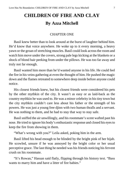### **CHILDREN OF FIRE AND CLAY By Azza Mitchell**

#### CHAPTER ONE

<span id="page-6-0"></span>Basil knew better than to look around at the burst of laughter behind him. He'd know that voice anywhere. He woke up to it every morning, a heavy yawn or the groan of stretching muscles. Basil could look across the room and watch him move under the covers, strong pale legs kicking at the blankets or a shock of blond hair peeking from under the pillows. He was too far away and truly not far enough.

Basil wanted him more than he'd wanted anyone in his life. He could feel the fire in his veins gathering at even the thought of him. He pushed the magic down and the flames retreated to somewhere deep inside before anyone could notice.

His closest friends knew, but his closest friends were considered his pets by the other mythkin of the city. It wasn't as easy or as laid-back as the country mythkin he was used to. He was a minor celebrity in histiny town but the city mythkin couldn't care less about his father or the strength of his powers. He was just a young free djinn with two human thralls and a servant. He was nothing to them, and he had to stay that way to stay safe.

Basilsniffed the air unwillingly, and his roommate's scent wafted past his nose. He tried to ignore his body's enthusiastic response and closed his eyesto keep the fire from showing in them.

"What's wrong with you?" Leila asked, poking him in the arm.

Basil lifted his head enough to be blinded by the bright pink of her hijab. He scowled, unsure if he was annoyed by the bright color or her usual perceptive grace. The last thing he needed was his friends noticing his fervent crush on his roommate.

"It's Rowan," Hassan said flatly, flipping through his history text. "Bass wants to marry him and have a litter of fire babies."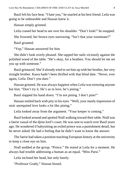Basil felt hisface heat. "I hate you," he snarled at his best friend. Leila was going to be unbearable and Hassan knew it.

Hassan simply grinned.

Leila craned her head to see over his shoulder. "Don't look!" he snapped.

She frowned, her brown eyes narrowing. "Isn't that your roommate?"

Basil groaned.

"Yep," Hassan answered for him.

She didn't look overly pleased. She tapped her nails viciously against the polished wood of the table. "He's okay, for a heathen. You should let me set you up with someone."

Basil grimaced. She'd already tried to set him up with her brother, her very straight brother. Kasra hadn't been thrilled with that blind date. "Never, ever again, Leila. Don't you dare."

Hassan grinned. He was always happiest when Leila was torturing anyone but him. "Don't try it. He's so in love, he's pining."

Basil slapped his hand down. "I'm not pining. I don't pine!"

Hassan smiled back with pity in his eyes. "Well, your manly impression of stoic unrequited love looks a lot like pining."

Leila looked away from the argument. "Your keeper is coming."

Basil looked around and spotted Niall walking toward their table. Niall was a faerie vassal of the djinn lord's court. He was sent to watch over Basil years ago. He wondered if babysitting an exiled prince was a punishment detail, but he never asked. He had a feeling that he didn't want to know the answer.

The faerie had taken a position teaching European history at the university to keep a close eye on him.

Niall nodded at the group. "Prince." He stared at Leila for a moment. He always had trouble addressing a human as an equal. "Miss Parsi."

Leila inclined her head, but only barely.

"Professor Grady," Hassan hissed.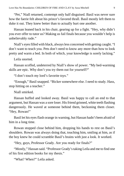"Pet," Niall returned, contempt only half disguised. Basil was never sure how the faerie felt about his prince's favored thrall. Basil mostly left them to duke it out. They knew better than to actually hurt one another.

Hassan leaned back in his chair, gearing up for a fight. "Hey, why didn't you ever offer to tutor us? Making us fail finals because you wouldn't help is unbelievably rude."

Niall's eyes filled with black, always less concerned with getting caught. "I don't want to teach you. Pets don't need to know any more than how to look pretty and warm a bed. In both of which, your knowledge is sorely lacking."

Leila snorted.

Hassan scoffed, undeterred by Niall's show of power. "My bed-warming skills are epic. Why don't you try them out for yourself?"

"I don't touch my lord's favorite *toys*."

"Enough," Basil snapped. "Bicker somewhere else. I need to study. Hass, stop hitting on a teacher."

Niall smirked.

Hassan huffed and looked away. Basil was happy to call an end to that argument, but Hassan was a sore loser. Hisfriend grinned, white teeth flashing dangerously. He waved at someone behind them, beckoning them closer. "Hey, Rowan!"

Basil let his eyes flash orange in warning, but Hassan hadn't been afraid of him in a long time.

Rowan stopped close behind him, dropping his hands to rest on Basil's shoulders. Rowan was always doing that, touching him, smiling at him, as if the boy knew he could scramble Basil's brains with just a look. It worked.

"Hey, guys, Professor Grady. Are you ready for finals?"

"Mostly," Hassan said. "Professor Grady'staking Leila and me to find one of his first edition books for my thesis."

"What? When?" Leila asked.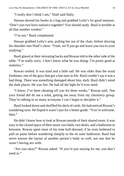"I really don't think I am," Niall said flatly.

Hassan shoved his books in a bag and grabbed Leila's for good measure. "Don't you two have statistics together? You should study. Basil is terrible at all that number voodoo."

"I'm not," Basil complained.

Hassan grabbed Leila's arm, pulling her out of the chair, before shoving his shoulder into Niall's chest. "Yeah, we'll just go and leave you two to your studying."

Basil glared at their retreating backs and Rowan slid to the other side of the table. "I'm really sorry. I don't know what he was doing. I'm pretty good at statistics."

Rowan smiled. It was kind and a little sad. He was older than the usual freshman, one of the guys that got a late start in life. Basil couldn't say it was a bad thing. There was something damaged about him, dark. Basil didn't mind the dark places. He was fire. He had all the light he'd ever need.

"I know, I've been cheating off you for three weeks," Rowan said, "but your friend did do me a solid, getting me away from my chemistry group. They're talking in so many acronyms I can't begin to decipher it."

Basil looked down and shuffled his deck of cards. He had noticed Rowan's wandering eyes. He hoped it wasn't just for a better grade. "You're welcome, then."

He didn't know how to look at Rowan outside of their shared room. It was easy in the closed space of their room: two beds, two desks, and a bathroom in between. Rowan spent most of his time half-dressed, if he even bothered to pull on pants before wandering sleepily to the en suite bathroom. Basil had never known the layout of another person's body so well, not one that he wasn't having sex with.

"Are you okay?" Rowan asked. "If you're just staying for me, you don't need to."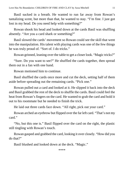Basil sucked in a breath. He wanted to run far away from Rowan's tantalizing scent, but more than that, he wanted to stay. "I'm fine. I just got lost in my head. Do you need help with something?"

Rowan shook his head and looked down at the cards Basil was shuffling absently. "Are you a card shark or something?"

Basil slowed the cards' movement so Rowan could see the skill that went into the manipulation. His talent with playing cards was one of the few things he was truly proud of. "Sort of. I do tricks."

Rowan grinned, leaning over the table to get a closer look. "Magic tricks?"

"Sure. Do you want to see?" He shuffled the cards together, then spread them out in a fan with one hand.

Rowan motioned him to continue.

Basil shuffled the cards once more and cut the deck, setting half of them aside before spreading out the remaining cards. "Pick one."

Rowan pulled out a card and looked at it. He slipped it back into the deck and Basil grabbed the rest of the deck to shuffle the cards. Basil could feel the heat from Rowan's fingers on the card. He wanted to grab the card and hold it out to his roommate but he needed to finish the trick.

He laid out three cards face down. "All right, pick out your card."

Rowan arched an eyebrow but flipped over the far left card. "That's not my card."

"No, but this one is." Basil flipped over the card on the right, the plastic still tingling with Rowan's touch.

Rowan gasped and grabbed the card, looking it over closely. "How did you do that?"

Basil blushed and looked down at the deck. "Magic."

\*\*\*\*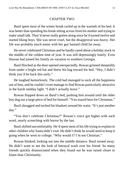### CHAPTER TWO

<span id="page-11-0"></span>Basil spent most of the winter break curled up in the warmth of his bed. It was better than spending his break sitting across from his mother and trying to make small talk. They'd never really gotten along since he'd turned twelve and started liking boys. She was never cruel, but the disapproval was heavy. Her life was probably much easier with her gay bastard child far away.

He never celebrated Christmas and he hardly cared about a holiday stuck in the middle of the coldest time of year. It was still depressingly lonely. Even Hassan had joined his family on vacation to southern Georgia.

Basil flinched asthe door opened unexpectedly. Rowan grinned sheepishly from under a bright red hat and threw his bag toward his bed. "Hey, I didn't think you'd be back this early."

He laughed humorlessly. The cold had managed to suck all the happiness out of him, and he couldn't even manage to find Rowan particularly attractive in the harsh midday light. "I didn't actually leave."

Rowan flopped down on Basil's bed, pushing him around until the older boy dug out a large piece of bed for himself. "You stayed here for Christmas."

Basil shrugged and tucked his blankets around his waist. "It's just another day."

"You don't celebrate Christmas?" Rowan's voice got higher with each word, nearly screeching with horror by the last.

Basil shifted uncomfortably. He'd spent most of his life trying to explain to other children why Santa didn't visit. He didn't think he would need to keep it going when he went to college. "Why would I? I'm not Christian."

Rowan blinked, looking out into the middle distance. Basil turned away. He didn't want to see the look of betrayal wash over his friend. So many friends quickly disassociated when they found out he was raised closer to Islam than Christianity.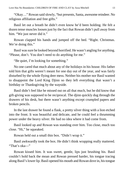"Okay…" Rowan said slowly, "but presents, Santa, awesome reindeer. No religious affiliation and free gifts."

Basil let out a breath he didn't even know he'd been holding. He felt a dozen tense muscles loosen just by the fact that Rowan didn't pull away from him. "We just never did it."

Rowan clapped his hands and jumped off the bed. "Right. Christmas. We're doing this."

Basil wassure he looked beyond horrified. He wasn't angling for anything. "Please, don't. You don't need to do anything for me."

"Be quiet, I'm looking for something."

No one cared that much about any of the holidays in his house. His father told him that gifts weren't meant for one day out of the year, and was fairly disturbed by the whole flying deer mess. Neither his mother nor Basil wanted to disappoint the Lord King Djinn so they left everything that wasn't a birthday or Thanksgiving by the wayside.

Basil didn't feel like he missed out on all that much, but he did know that gift-giving was supposed to be reciprocal. The djinn quickly dug through the drawers of his desk, but there wasn't anything except crumpled papers and broken pencils.

In the last drawer he found a flask, a pretty silver thing with a lion etched into the front. It was beautiful and delicate, and he could feel a thrumming power under the heavy silver. He had no idea where it had come from.

Basil looked up and Rowan was standing over him. Too close, much too close. "Hi," he squeaked.

Rowan held out a small thin box. "Didn't wrap it."

Basil awkwardly took the box. He didn't think wrapping really mattered. "That's oka—"

Rowan kissed him. It was sweet, gentle, lips just brushing his. Basil couldn't hold back the moan and Rowan pressed harder, his tongue tracing along Basil'slower lip. Basil opened his mouth and Rowan dove in, histongue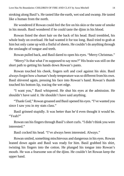stroking along Basil's. He tasted like the earth, wet sod and swamp. He tasted like a human from the north.

He wondered if Rowan could feel the fire on his skin or the taste of smoke in his mouth. Basil wondered if he could taste the djinn in his blood.

Rowan fisted the short hair on the back of his head. Basil trembled, his whole body on overload. He had wanted it for too long. Basil tried to grab at him but only came up with a fistful of sheets. He couldn't do anything through the onslaught of tongue and teeth.

Rowan pulled back, and Basil dared to open his eyes. "Merry Christmas."

"Merry? Is that what I'm supposed to say now?" His brain was still on the short path to getting his hands down Rowan's pants.

Rowan touched his cheek, fingers soft and cool against his skin. Basil alwaysforgot how a human's body temperature wasso different fromhis own. Basil shivered again, pressing his face into Rowan's hand. Rowan's thumb touched his bottom lip, tracing the wet edge.

"I want you," Basil whispered. He shut his eyes at the admission. He shouldn't have said it. He shouldn't have said anything.

"Thank God," Rowan groaned and Basil opened his eyes. "I've wanted you since I saw you in my stats class."

Basil grinned stupidly. It was better than he'd even thought it would be. "Yeah?"

Rowan ran his fingers through Basil's short curls. "I didn't think you were interested."

Basil cocked his head. "I've always been interested. Always."

Rowan smiled, something mischievous and dangerous in his eyes. Rowan leaned down again and Basil was ready for him. Basil grabbed his shirt, twisting his fingers into the cotton. He plunged his tongue into Rowan's mouth. He was a fearsome son of the djinn. He couldn't let Rowan keep the upper hand.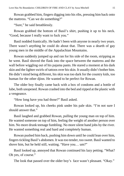Rowan grabbed him, fingers digging into his ribs, pressing him back onto the mattress. "Can we do something?"

"Sure," he said breathlessly.

Rowan grabbed the bottom of Basil's shirt, pushing it up to his neck. "Good, because I really want to fuck you."

Basil nodded frantically. He hadn't been with anyone in nearly two years. There wasn't anything he could do about that. There was a dearth of gay young men in the middle of the Appalachian Mountains.

Rowan suddenly jumped up and ran for his side of the room, stripping as he went. Basil shoved the flask into the space between the mattress and the wall before wiggling out of his pajama pants. He stared a moment at his dark skin and the lighter swirls of tattoos over his skin. It usually didn't bother him. He didn't mind being different, his skin was too dark for the country kids, too human for the other djinn. He wanted to be perfect for Rowan.

The older boy finally came back with a box of condoms and a bottle of lube, both unopened. Rowan crashed into the bed and ripped at the plastic with a vengeance.

"How long have you had those?" Basil asked.

Rowan looked up, his cheeks pink under his pale skin. "I'm not sure I should answer that."

Basil laughed and grabbed Rowan, pulling the young man on top of him. He wanted someone on top of him, feeling the weight of another person over him. No more drunk teenage fumbling. No more silent hand jobs by the river. He wanted something real and hard and completely human.

Rowan pushed him back, pushing him down until he could lean over him, fingers tickling Basil's abdomen. It was too tender, too sweet. Basil wanted to shove him, but he held still, waiting. "Have you… um?"

Basil looked up, annoyed that Rowan continued his lazy petting. "What? Oh yes, of course."

The look that passed over the older boy's face wasn't pleasant. "Okay."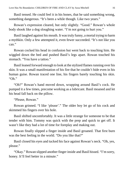Basil tensed. He could feel it in his bones, that he said something wrong, something dangerous. "It's been a while though. Like two years."

Rowan's expression cleared, but only slightly. "Good." Rowan's whole body shook like a dog sloughing water. "I'm not going to hurt you."

Basil laughed against his mouth. It wastruly funny, a mortal trying to harm a mythkin. Only a few attempted it, even fewer succeeded. "It's not like you can."

Rowan cocked his head in confusion but went back to touching him. He wiggled down the bed and pushed Basil's legs apart. Rowan touched his stomach. "You have a tattoo."

Basil leaned forward enough to look at the stylized flames running over his skin. It was a small manifestation of his fire that he couldn't hide even in his human guise. Rowan traced one line, his fingers barely touching his skin. "Oh."

"Oh?" Rowan's hand moved down, wrapping around Basil's cock. He pumped it a few times, precome working as a lubricant. Basil moaned and let his head fall back on the pillow.

"Please, Rowan."

Rowan grinned. "I like 'please'." The older boy let go of his cock and skimmed his fingers over his hole.

Basil shifted uncomfortably. It was a little strange for someone to be that tender with him. Tommy was quick with the prep and quick to get off. It wasn't like they had a lot of time for foreplay and making out.

Rowan finally slipped a finger inside and Basil groaned. That first burn was the best feeling in the world. "Do you like that?"

Basil closed his eyes and tucked his face against Rowan's neck. "Oh, yes, please."

"Okay." Rowan slipped another finger inside and Basil hissed. "I'm sorry, honey. It'll feel better in a minute."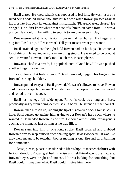Basil glared. He knew what it was supposed to feel like. He wasn't sure he liked being coddled, but all thoughts left his head when Rowan pressed against his prostate. His cock jerked against his stomach. "Please, Master, please." He cringed. He didn't know where that note of submission came from. He was a prince. He shouldn't be willing to submit to anyone, even in play.

Rowan growled at his admission, more animal than human. His fingernails dug into Basil's hip. "Please what? Tell your master what you want."

Basil strained against the tight hold Rowan had on his hips. He wanted a lot of things. He wanted to not say anything stupid. He wanted to be good at sex. He wanted Rowan. "Fuck me. Touch me. Please, please."

Rowan sucked in a breath, his pupils dilated. "Good boy." Rowan pushed another finger inside him.

"Yes, please, that feels so good." Basil trembled, digging his fingers into Rowan's strong shoulders.

Rowan pulled away and Basil growled. He wasn't allowed to leave. Rowan could never escape him again. The older boy ripped open the condom packet and rolled it over his cock.

Basil let his legs fall wide open. Rowan's cock was long and hard, practically angry from being denied Basil's body. He grinned at the thought.

Rowan lined himself up, rubbing the tip of his covered cock against Basil's hole. Basil pushed up against him, trying to get Rowan's hard cock where he wanted it. He needed Rowan inside him. He could almost settle for anyone's cock at the moment, just as long as he was filled.

Rowan sank into him in one long stroke. Basil groaned and grabbed Rowan's arm to keep himself from shaking apart. It was wonderful. It was like they were meant to be together, bodies moving as one, fire and earth battling for dominance.

"Please, please, please." Basil tried to lift his hips, to meet each thrust with furious abandon. Rowan grabbed his wrists and held himdown to the mattress. Rowan's eyes were bright and intense. He was looking for something, but Basil couldn't imagine what. Basil couldn't give him more.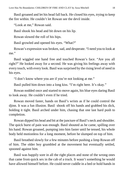Basil groaned and let his head fall back. He closed his eyes, trying to keep the fire within. He couldn't let Rowan see the devil inside.

"Look at me," Rowan said.

Basil shook his head and bit down on his lip.

Rowan slowed the roll of his hips.

Basil growled and opened his eyes. "What?"

Rowan's expression was broken, sad, and desperate. "I need you to look at me."

Basil wiggled one hand free and touched Rowan's face. "Are you all right?" He looked away for a second. He was giving his feelings away with every touch, with every look. Basil was surprised by the rising level of need in his eyes.

"I don't know where you are if you're not looking at me."

Basil pulled him down into a long kiss. "I'm right here. It's okay."

Rowan nodded once and started to move again, his blue eyes daring Basil to look away. He couldn't even if he tried.

Rowan moved faster, hands on Basil's wrists as if he could control the djinn. It was a fun illusion. Basil shook off his hands and grabbed his dick, holding it tight. Basil arched under him, chasing that one last hard push to completion.

Rowan dipped his head and bit at the juncture of Basil's neck and shoulder. The quick burst of pain was enough. Basil shouted as he came, spilling over his hand. Rowan groaned, pumping into him faster until he tensed, his whole body held motionless for a long moment, before he slumped on top of him.

Basil breathed slowly for a few minutes before pushing a limp Rowan off of him. The older boy grumbled at the movement but eventually settled, spooned against him.

Basil was happily sore in all the right places and none of the wrong ones that came from quick sex in the cab of a truck. It wasn't something he would have allowed himself before. He could never cuddle in a bed or hold hands in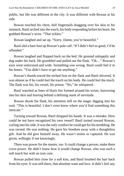public, but life was different in the city. It was different with Rowan at his side.

Rowan touched his chest, dull fingernails dragging over his skin to his stomach. Basil arched into the touch, his body responding before his brain. He grabbed Rowan's wrist. "That tickles."

Rowan laughed and sat up. "Sorry. Damn, you're beautiful."

Basil slid a bare foot up Rowan's pale calf. "If I didn't feel so good, I'd be offended."

Rowan laughed and flopped back on the bed. He grunted unhappily and dug under his back. He grumbled and pulled out the flask. "Oh…" Rowan's eyes went unfocused and wide. Something was wrong. Basil could feel it in his bones. "You didn't have to get me anything."

Rowan's thumb traced the etched lion on the flask and Basil shivered. It was almost as if he could feel the touch on his body. He *could* feel the touch. The flask was his, his vessel, his prison. "No," he whispered.

Basil watched as lines of black fire formed around his wrists, burrowing into his skin and leaving behind a defining mark of servitude.

Rowan shook the flask, his attention still on the magic digging into his soul. "This is beautiful. I don't even know where you'd find something this intricate."

Turning toward Rowan, Basil dropped his hands. It was a mistake. How could he not have recognized his own vessel? Basil turned toward Rowan, curling into his side. It was the only comfort he could get for his trembling. He was owned. He was nothing. He gave his freedom away with a thoughtless gift. And he *did* give himself away. He wasn't stolen or captured. He was given, willingly if not knowingly.

There was power for the master, too. It could change a person, make them crave power. He didn't know how it would change Rowan, who was such a soft touch but with an iron core.

Rowan pulled him close for a soft kiss, and Basil brushed the hair back from his eyes. It was still there, that absolute want and love. It didn't feel any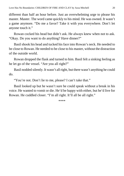different than half an hour before. Just an overwhelming urge to please his master. Master. The word came quickly to his mind. He was owned. It wasn't a game anymore. "Do me a favor? Take it with you everywhere. Don't let anyone touch it."

Rowan cocked his head but didn't ask. He always knew when not to ask. "Okay. Do you want to do anything? Have dinner?"

Basil shook his head and tucked his face into Rowan's neck. He needed to be close to Rowan. He needed to be close to his master, without the distraction of the outside world.

Rowan dropped the flask and turned to him. Basil felt a sinking feeling as he let go of the vessel. "Are you all right?"

Basil nodded silently. It wasn't all right, but there wasn't anything he could do.

"You're not. Don't lie to me, please? I can't take that."

Basil looked up but he wasn't sure he could speak without a break in his voice. He wanted to vomit or die. He'd be happy with either, but he'd live for Rowan. He cuddled closer. "I'm all right. It'll all be all right."

\*\*\*\*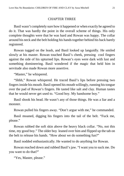### CHAPTER THREE

<span id="page-20-0"></span>Basil wasn't completely sure how it happened or when exactly he agreed to do it. That was hardly the point in the overall scheme of things. His only complete thoughts were that he was hard and Rowan was happy. The collar around his neck and the belt holding his handstogether behind his back barely registered.

Rowan tugged on the leash, and Basil looked up languidly. He smiled slowly at his master. Rowan touched Basil's cheek, pressing cool fingers against the side of his upturned lips. Rowan's eyes were dark with lust and something domineering. Basil wondered if the magic that held him in servitude also made Rowan more assertive.

"Master," he whispered.

"Shhh," Rowan whispered. He traced Basil's lips before pressing two fingers inside his mouth. Basil opened his mouth willingly, running histongue over the pad of Rowan's fingers. He tasted like salt and clay. Human tastes that he would never get used to. "Good boy. My handsome boy."

Basil shook his head. He wasn't any of those things. He was a liar and a monster.

Rowan pulled his fingers away. "Don't argue with me," he commanded.

Basil moaned, digging his fingers into the tail of the belt. "Fuck me, please."

Rowan rubbed the soft skin above the heavy black collar. "No, not this time, my good boy." The older boy leaned over him and flipped up the tab on the belt to release his hands. "How about we do something fun?"

Basil nodded enthusiastically. He wanted to do anything for Rowan.

Rowan reached down and rubbed Basil's jaw. "I want you to suck me. Do you want to do that?"

"Yes, Master, please."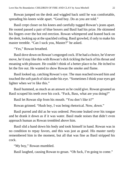Rowan jumped on the desk and wiggled back until he was comfortable, spreading his knees wide apart. "Good boy. Do as you are told."

Basil crept closer on his knees and carefully tugged Rowan's jeans apart. He rooted passed a pair of blue boxers and Basil had his prize. He skimmed his fingers over the hot red erection. Rowan whimpered and leaned back on the desk, looking up at the spackled ceiling. Basil growled, if only to make his master tremble. "Can I suck you, Master?" he asked.

"Yes," Rowan breathed.

Basil dove down on Rowan's engorged cock. If he had a choice, he'd never move, he'd stay like this with Rowan's dick tickling the back of his throat and moaning with pleasure. He couldn't think of a better place to be. He itched to let the fire out. He wanted to show Rowan the smoke and flame.

Basil looked up, catching Rowan's eye. The man reached toward him and touched the soft patch of skin under his eye. "Sometimes I think your eyes get lighter when we're like this."

Basil hummed, as much as an answer as he could give. Rowan groaned as Basil scraped his teeth over his cock. "Fuck, Bass, what are you doing?"

Basil let Rowan slip from his mouth. "You don't like it?"

Rowan grinned. "Hush boy, I was being rhetorical. Now, down."

Basil purred and did as he was ordered. Precome leaked over his tongue and he drank it down as if it was water. Basil made noises that didn't even approach human as Rowan trembled above him.

Basil slid a hand down his body and took himself in hand. Rowan was in no condition to repay favors, and this was just as good. His master rarely remembered him in the moment, but all that was fine as Basil stripped his cock.

"My boy," Rowan mumbled.

Basil laughed, causing Rowan to groan. "Oh fuck, I'm going to come."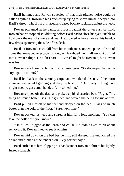Basil hummed and Rowan squealed, if that high-pitched noise could be called anything. Rowan's hips bucked up trying to shove himself deeper into Basil's throat. The djinn grimaced and eased back to suck hard at just the head.

Rowan screamed as he came, and Basil caught the bitter rush of fluid. Rowan hadn't stopped shuddering before Basil had to close his eyes, unable to hold back the roar of smoke and heat. He groaned as he came over his hand, a few drops spattering the side of his desk.

Basil let Rowan's cock fall from his mouth and scooped up the little bit of come that managed to escape histongue. He rubbed the small amount of fluid into Rowan's thigh. He didn't care. His vessel might be Rowan's, but Rowan was his.

Rowan stared down at him with an amused grin. "So, do we put that in the 'try again' column?"

Basil fell back on the scratchy carpet and wondered absently if the dorm management would get angry if they replaced it. "Definitely. Though we might need to get actual handcuffs or something."

Rowan slipped off the desk and picked up his discarded belt. "Right. This thing has much better uses." He grinned and waved the belt's tongue at him.

Basil pulled himself to his feet and flopped on the bed. It was so much better than the cold of the floor. "Sure, next time."

Rowan cocked his head and stared at him for a long moment. "You can take the collar off, you know."

"Oh." Basil tugged at the leash and collar. He didn't even think about removing it. Rowan liked to see it on him.

Rowan laid down on the bed beside him, still dressed. He unbuckled the collar and rubbed at the tender skin. "My perfect boy."

Basil curled into him, slipping his hands under Rowan's shirt to his lightly furred stomach.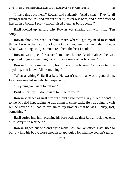"I have three brothers," Rowan said suddenly. "And a sister. They're all younger than me. My dad ran out after my sister was born, and Mom drowned herself in a bottle. I pretty much raised them, as best I could."

Basil looked up, unsure why Rowan was sharing this with him. "I'm sorry."

Rowan shook his head. "I think that's where I got my need to control things. I was in charge of four kids not much younger than me. I didn't know what I was doing, so I just mothered them the best I could."

Rowan was quiet for several minutes before Basil realized he was supposed to give something back. "I have some older brothers."

Rowan looked down at him, his smile a little broken. "You can tell me anything, you know. All or anything."

"What anything?" Basil asked. He wasn't sure that was a good thing. Everyone needed secrets, him especially.

"Anything you want to tell me."

Basil bit his lip. "I don't want to… lie to you."

Rowan stiffened against him but didn't try to move away. "Please don't lie to me. My dad kept saying he was going to come back. He was going to visit but he never did. I had to explain to my brothers that he was… busy, lost, something."

Basil curled into him, pressing his bare body against Rowan's clothed one. "I'm sorry," he whispered.

Rowan sighed but he didn't try to make Basil talk anymore. Basil tried to burrow into his body, close enough to apologize for what he couldn't give.

\*\*\*\*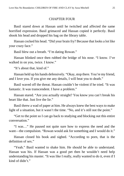### CHAPTER FOUR

<span id="page-24-0"></span>Basil stared down at Hassan until he twitched and affected the same horrified expression. Basil grimaced and Hassan copied it perfectly. Basil shook his head and dropped his bag on the library table.

Hassan cocked his head. "Did your brain fry? Because that looks a lot like your crazy face."

Basil blew out a breath. "I'm dating Rowan."

Hassan blinked once then rubbed the bridge of his nose. "I know. I've walked in on you, twice. I know."

"It's about that, kind of."

Hassan held up his hands defensively. "Okay, stop there. You're my friend, and I love you. If you give me any details, I will beat you to death."

Basil waved off the threat. Hassan couldn't be violent if he tried. "It was fantastic. It was transcendent. I have a problem."

Hassan stared. "Are you actually straight? You know you can't break his heart like that. Just live the lie."

Basil threw a wad of paper at him. He always knew the best ways to make light of a situation, but it wasn't the time. "No, and it's still not the point."

"Get to the point so I can go back to studying and blocking out this entire conversation."

"I was…" He paused not quite sure how to express the need and the want—the compulsion. "Rowan would ask for something and I would do it."

Hassan closed his book and sighed. "According to porn, that is the definition of sex."

"Yeah." Basil wanted to shake him. He should be able to understand. Hassan was his. If Hassan was a good pet then he wouldn't need help understanding his master. "It was like I really, really wanted to do it, even if I kind of didn't"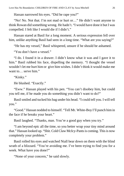Hassan narrowed his eyes. "Did he rape you?"

"No! No. Not that. I'm not mad or hurt or…" He didn't want anyone to think Rowan did something wrong. He hadn't. "I would have done it but I was compelled. I felt like I would die if I didn't."

Hassan stared at Basil for a long moment. A serious expression fell over him, unlike anything Basil had seen in a long time. "What are you saying?"

"He has my vessel," Basil whispered, unsure if he should be ashamed.

"You don't have a vessel."

"I do. I found it in a drawer. I didn't know what it was and I gave it to him." Basil rubbed his face, dispelling the memory. "I thought the vessel wouldn't let me hurt him or give him wishes. I didn't think it would make me want to… serve him."

"Kinky."

He blushed. "Exactly."

"Eww." Hassan played with his pen. "You can't disobey him, but could you tell me, if he made you do something you didn't want to do?"

Basilsmiled and tucked his bag under his head. "I could tell you. I will tell you."

"Good." Hassan nodded to himself. "Tell Mr. White-Boy I'll punch himin the face if he breaks your heart."

Basil laughed. "Thanks, man. You're a good guy when you try."

"I am beyond epic all the time, so you better wrap your tiny mind around that." Hassan looked up. "Shit. Cold Claw McIcy-Pants is coming. This is now completely your problem."

Basil rolled his eyes and watched Niall bear down on them with the blind wrath of a blizzard. "You're avoiding me. I've been trying to find you for a week. What have you done?"

"None of your concern," he said slowly.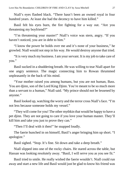Niall's eyes flashed black. "There hasn't been an owned royal in four hundred years. At least she had the decency to have him killed."

Basil felt his eyes burn, the fire fighting for a way out. "Are you threatening my boyfriend?"

"I'm threatening your master!" Niall's voice was stern, angry. "If you haven't noticed, you are in debt to him."

"I know the power he holds over me and it's none of your business," he growled. Niall would not step in his way. He would destroy anyone that tried.

"It is very much my business. I am your servant. It is my job to take care of you."

Basil sucked in a shuddering breath. He was willing to tear Niall apart for one angry sentence. The magic connecting him to Rowan thrummed unpleasantly in the back of his mind.

"Your mother raised you among humans, but you are not human, Bass. You are djinn, son of the Lord King Djinn. You're meant to be so much more than a servant to a human," Niall said. "My prince should not be lessened by anyone."

Basil looked up, watching the worry and the terror cross Niall's face. "I'm not less because someone holds my vessel."

"They will come for you! The other mythkin that would be happy to have a pet djinn. They are not going to care if you love your human master. They'll kill him and take you just to prove they can."

"Then I'll deal with it then!" he snapped loudly.

The faerie hunched in on himself, Basil's anger bringing him up short. "I apologize."

Basil sighed. "Stop. It's fine. Sit down and take a deep breath."

Niall slipped into one of the rocky chairs. He stared across the table, but Hassan was looking resolutely away. "Basil, I will serve you as you see fit."

Basil tried to smile. He really wished the faerie wouldn't. Niall could run away and start a new life and Basil would just be glad to know his friend was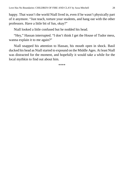happy. That wasn't the world Niall lived in, even if he wasn't physically part of it anymore. "Just teach, torture your students, and hang out with the other professors. Have a little bit of fun, okay?"

Niall looked a little confused but he nodded his head.

"Hey," Hassan interrupted. "I don't think I get the House of Tudor mess, wanna explain it to me again?"

Niall snapped his attention to Hassan, his mouth open in shock. Basil ducked his head as Niall started to expound on the Middle Ages. At least Niall was distracted for the moment, and hopefully it would take a while for the local mythkin to find out about him.

\*\*\*\*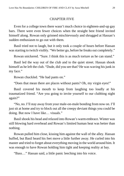### CHAPTER FIVE

<span id="page-28-0"></span>Even for a college town there wasn't much choice in eighteen-and-up gay bars. There were even fewer choices when the straight best friend invited himself along. Rowan only grinned mischievously and shrugged at Hassan's sudden enthusiasm to go out with them.

Basil tried not to laugh, but it only took a couple of hours before Hassan was starting to twitch visibly. "We better go, before he freaks out completely."

Rowan snickered. "Sure. I think this is as much torture as he can stand."

Basil led the way out of the club and to the quiet street. Hassan shook himself as he left the club. "Dude, did you see that? He was waving his junk in my face."

Rowan chuckled. "He had pants on."

"Does that mean there are places without pants? Oh, my virgin eyes!"

Basil covered his mouth to keep from laughing too loudly at his traumatized friend. "Are you going to invite yourself to our clubbing night again?"

"No, no. I'll stay away from your male-on-male bonding from now on. I'll just sit at home and try to block out all the creepy deviant things you could be doing. But now I have like… visuals."

Basilshook his head and relaxed into Rowan's warmembrace. Winter was still blowing hard overhead and Rowan's limited human heat was better than nothing.

Rowan pulled him close, kissing him against the wall of the alley. Hassan huffed, but Basil heard his feet move a little further away. He curled into his master and tried to forget about everything moving in the world around him. It was enough to have Rowan holding him tight and keeping reality at bay.

"Bass…" Hassan said, a little panic leeching into his voice.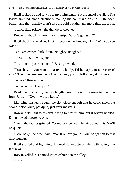Basil looked up and saw three mythkin standing at the end of the alley. The leader smirked, static electricity making his hair stand on end. A thunderbearer, and they usually didn't like the cold weather any more than the djinn.

"Hello, little prince," the thunderer crooned.

Rowan grabbed his arm in a vise grip. "What's going on?"

Basilshook his head and kept his eyes on the three mythkin. "What do you want?"

"You are owned, little djinn. Naughty, naughty."

"Bass," Hassan whispered.

"It's none of your business," Basil growled.

"Poor boy, if you want a master so badly, I'd be happy to take care of you." The thunderer stepped closer, an angry wind following at his back.

"What?" Rowan asked

"We want the flask, pet."

Basil bared his teeth, canines lengthening. No one was going to take him from Rowan. "Over my dead body."

Lightning flashed through the sky, close enough that he could smell the ozone. "Not yours, pet djinn, just your master's."

Rowan held tight to his arm, trying to protect him, but it wasn't needed. Djinn bowed before no one.

One of the faeries grinned. "Come, prince, we'll be nice about this. We'll be quick."

"Poor boy," the other said. "We'll relieve you of your obligation to that dirty human."

Basil snarled and lightning slammed down between them, throwing him into a wall.

Rowan yelled, his pained voice echoing in the alley.

" $R_0$ !"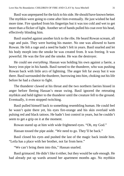Basil was unprepared for the kick to hisside. He should have known better. The mythkin were going to come after him eventually. He just wished he had more time. Fire sparked from his fingertips but it was too cold and wet to get more than a flicker of light. Another set of hands pulled his coat over his head, effectively blinding him.

Basil snarled against another kick to the ribs. He heard Rowan scream, all rage and pain. They were hurting his master. No one was allowed to harm Rowan. He felt a rage and a need he hadn't felt in years. Basil snarled and let his body morph into the smoke he was created from. It was freeing. It was powerful. He was the fire and the smoke. He was the destroyer.

He could see *everything*. Hassan was holding his own against a faerie, a heavy iron pipe in his hands. Basil turned to the thunderer, who was pushing Rowan back with little arcs of lightning. The anger felt far away but it was there. Basil surrounded the thurderer, burrowing into him, choking out his life before he had a chance to fight.

The thunderer clawed at his throat and the two northern faeries hissed in anger before fleeing Hassan's mean swing. Basil ignored the retreating mythkin and held tighter to the thunderer until the creature fell to the ground. Eventually, it even stopped twitching.

Basil pulled himself back to something resembling human. He could feel he wasn't quite there yet, his eyes fire-orange and his skin overlaid with pulsing red and black tattoos. He hadn't lost control in years, but he couldn't seem to get a grip on it at the moment.

Rowan stared up at him with wide frightened eyes. "Oh, my God."

Hassan tossed the pipe aside. "We need to go. They'll be back."

Basil closed his eyes and pushed the last of the magic back inside him. "Leila has a place with her brother, not far from here."

"We can't bring them into this," Hassan snarled.

Basil grimaced. He didn't like it either, but they would be safe enough. He had already put up wards around her apartment months ago. No mythkin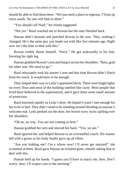should be able to find them there. "We just need a place to regroup. I'll put up extra wards. No one will find us there."

"You should call Niall," his friend suggested.

"Not yet." Basil reached out to Rowan but the man flinched back.

Hassan didn't hesitate and punched Rowan in the arm. "Hey, nothing's changed. He's the same guy you made out with like five minutes ago. Right now isn't the time to deal with this."

Rowan visibly shook himself. "Sorry." He got awkwardly to his feet, favoring his right leg.

Hassan grabbed Rowan's armand hung it across hisshoulders. "Bass, grab his other arm. We need to go."

Basil reluctantly took his master's arm and this time Rowan didn't flinch from his touch. It would have to be enough.

They limped their way to Leila's apartment block. There were bright lights on every floor and most of the building smelled like curry. Most people that lived there believed in the supernatural, and it gave them some small amount of protection.

Basil knocked rapidly on Leila's door. He hoped it wasn't late enough for her to be in bed. They didn't need to be standing around bleeding on anyone's welcome mat. Leila peeked out the door, her brown wavy locks spilling over her shoulders.

"Oh no, no way. You are not coming in here."

Hassan grabbed her arm and shoved her back. "Yes, we are."

Basil ignored her and helped Rowan to an overstuffed couch. His master fell with a groan as his body finally gave up all effort.

"Are you kidding me? I'm a whore now! I'll never get married!" she screamed at them. Basil gave Hassan an irritated glare, silently asking him to deal with this.

Hassan held up his hands. "I guess you'll have to marry me, then. Don't worry, dear, I'll respect you in the morning."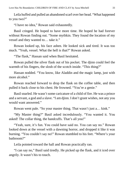Leila huffed and pulled an abandoned scarf over her head. "What happened to you two?"

"I have no idea," Rowan said exhaustedly.

Basil cringed. He hoped to have more time. He hoped he had forever without Rowan finding out. "Some mythkin. They found the location of my vessel and they wanted to… take it."

Rowan looked up, his face ashen. He looked sick and tired. It was too much. "Yeah, vessel. What the hell is that?" Rowan asked.

"The flask," Hassan said when Basil hesitated.

Rowan pulled the silver flask out of his pocket. The djinn could feel the warmth of his fingers, the slosh of the scotch inside. "This thing?"

Hassan nodded. "You know, like Aladdin and the magic lamp, just with more alcohol."

Rowan reached forward to drop the flask on the coffee table, and then pulled it back close to his chest. He frowned. "You're a genie."

Basil snarled. He wasn't some caricature of a child of fire. He was a prince and a servant, a god and a slave. "I am djinn. I don't grant wishes, not any you would want answered."

Rowan went pale. "So your master thing. That wasn't just a… kink."

"My Master thing?" Basil asked incredulously. "You wanted it. You asked! The collar thing, the handcuffs. That's all you!"

"Yeah, sure, it's fun. You could have said no. You can say no." Rowan looked down at the vessel with a dawning horror, and dropped it like it was burning. "You couldn't say no!" Rowan stumbled to his feet. "Where's your bathroom?"

Leila pointed toward the hall and Rowan practically ran.

"I can say no," Basil said tiredly. He picked up the flask, and it iced over angrily. It wasn't his to touch.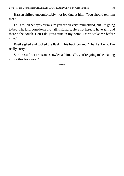Hassan shifted uncomfortably, not looking at him. "You should tell him that."

Leila rolled her eyes. "I'm sure you are all very traumatized, but I'm going to bed. The last room down the hall is Kasra's. He's not here, so have at it, and there's the couch. Don't do gross stuff in my home. Don't wake me before nine."

Basil sighed and tucked the flask in his back pocket. "Thanks, Leila. I'm really sorry."

She crossed her arms and scowled at him. "Oh, you're going to be making up for this for years."

\*\*\*\*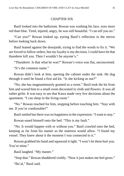### CHAPTER SIX

<span id="page-34-0"></span>Basil looked into the bathroom. Rowan was washing his face, eyes more red than blue. Tired, injured, angry, he was still beautiful. "I can tell you no."

"Can you?" Rowan looked up, eyeing Basil's reflection in the mirror before looking back down.

Basil leaned against the doorjamb, trying to find the words to fix it. "We are forced to follow orders, but my loyalty is my decision. I could have let that thunderer kill you. Then I wouldn't be anyone's."

"Thunderer. Is that what he was?" Rowan's voice was flat, unconcerned.

"It's the common name."

Rowan didn't look at him, opening the cabinet under the sink. He dug through it until he found a first aid kit. "Is she kicking us out?"

"No, she has magnanimously granted us a room." Basil took the kit from him and waved him to a small room decorated in cloth and flowers. It was all rather girlie. It was easy to see that Kasra made very few decisions about the apartment. "I can sleep in the living room."

"No." Rowan reached for him, stopping before touching him. "Stay with me. If you're comfortable?"

Basil smiled but there was no happiness in the expression. "I want to stay."

Rowan eased himself onto the bed. "This is my fault."

"No. It would happen with or without you." Basil crawled onto the bed, keeping as far from his master as the mattress would allow. "I found my vessel. They knew about it the moment I was connected to it."

Rowan grabbed his hand and squeezed it tight. "I won't let them hurt you. You're mine."

Basil laughed. "My master."

"Stop that." Rowan shuddered visibly. "Now it just makes me feel gross."

"Ba'al," Basil said.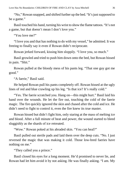"No," Rowan snapped, and shifted further up the bed. "It's just supposed to be a game."

Basil touched his hand, turning his wrist to show the flame tattoos. "It's not a game, but that doesn't mean I don't love you."

"You love me?"

"I love you and that has nothing to do with my vessel," he admitted. It was freeing to finally say it even if Rowan didn't reciprocate.

Rowan jerked forward, kissing him sloppily. "I love you, so much."

Basil growled and tried to push him down onto the bed, but Rowan hissed in pain. "Shit."

Rowan pulled at the bloody mess of his pants leg. "That one guy got me good."

"A faerie," Basil said.

He helped Rowan pull his pants completely off. Rowan hissed at the ugly lines of red and blue crawling up his leg. "Is that ice? It's really cold."

"Yes. The faerie scratched you. Hang on—this might hurt." Basil laid his hand over the wounds. He let the fire out, touching the cold of the faerie magic. The fire quickly ignored the skin and chased after the cold and ice. He didn't need to fight to control it, even the fire knew its true master.

Rowan hissed but didn't fight him, only staring at the mass of melting ice and blood. After a full minute of heat and power, the wound started to bleed sluggishly as the shards of ice retreated.

"Wow." Rowan poked at his abraded skin. "You can heal?"

Basil pulled out sterile pads and laid them over the deep cuts. "No. I just reversed the magic that was making it cold. Those low-bred faeries have nothing on me."

"They called you a prince."

Basil closed his eyes for a long moment. He'd promised to never lie, and Rowan had let him avoid it by not asking. He was finally asking. "I am. My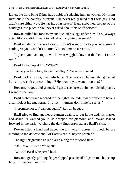father, the Lord King Djinn, has a habit of seducing human women. My mom lives out in the country. Virginia. She never really liked that I was gay. Dad didn't care either way. He has his own issues." Basil smoothed the last of the bandages into place. "You never asked about this stuff before."

Rowan pulled his foot away and tucked his legs under him. "You always acted like you didn't want to talk about anything personal."

Basil nodded and looked away. "I didn't want to lie to you. Any story I could give you wouldn't be true. You told me to never lie."

"I guess you can stop now." Rowan wiggled down in the bed. "Let me see."

Basil looked up at him "What?"

"What you look like, like in the alley," Rowan explained.

Basil looked away, uncomfortable. The monster behind the guise of humanity wasn't a pretty thing. "Why would you want to do that?"

Rowan shrugged and grinned. "I get to see the elves in their birthday suits. I want to see you."

Basil twitched and reached for the lights. He didn't want anyone to have a clear look at his true form. "It's not… humans don't like to see us."

"I promise not to freak out again," Rowan begged.

Basil tried to find another argument against it, but in the end, his master had asked. "I warned you." He dropped the glamour, and Rowan leaned forward in the dark, watching the dark lines crawl across Basil's skin.

Rowan lifted a hand and traced the thin whorls across his cheek before moving to the delicate shell of Basil's ear. "They're pointed."

The light brightened as red flared along the tattooed lines.

"Oh, wow," Rowan whispered.

"Wow?" Basil whispered back.

Rowan's gently probing finger slipped past Basil's lips to touch a sharp fang. "I like you like this."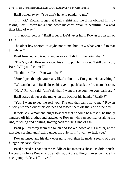Basil pulled away. "You don't have to pander to me."

"I'm not." Rowan tugged at Basil's shirt and the djinn obliged him by taking it off. Rowan ran a hand down his chest. "You're beautiful, in a wild tiger kind of way."

"I'm not dangerous," Basil argued. He'd never harm Rowan or Hassan or Leila…

The older boy snorted. "Maybe not to me, but I saw what you did to that thunderer."

Basil frowned and tried to move away. "I didn't like doing that."

"That's good." Rowan grabbed his armto pull himcloser. "Istill want you, Bass. Will you fuck me?"

The djinn stilled. "You want that?"

"Sure. I just thought you really liked to bottom. I'm good with anything."

"We can do that." Basil closed his eyes to push back the fire from his skin.

"Hey," Rowan said, "don't do that. I want to see you like you really are."

Basil stared down at the marks on the back of his hands. "Really?"

"Yes. I want to see the real you. The one that can't lie to me." Rowan quickly stripped out of his clothes and tossed them off the side of the bed.

It took Basil a moment longer to accept that he could be himself; he finally shucked off his clothes and crawled to Rowan, who ran cool hands along his ribs, touching and tickling, tracing each swirling line of ash.

Basil pulled away from the touch and looked down at his master, at the muscles cording and flexing under his pale skin. "I want to fuck you."

Rowan tensed and his dark eyes narrowed, then he made a sound of pure hunger. "Please, please."

Basil placed his hand in the middle of his master's chest. He didn't push. He couldn't force Rowan to do anything, but the willing submission made his cock jump. "Okay, I'll… yes."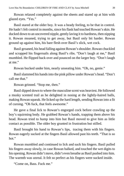Rowan relaxed completely against the sheets and stared up at him with glazed eyes. "Yes."

Basil stared at the older boy. It was a heady feeling, to be that in control. He hadn't felt control in months, since his flask had touched Rowan's skin. He ducked down to an uncovered nipple, gently laving it to hardness, then nipping it. Rowan moaned, trying to get away, but Basil only bit harder. Rowan ground up against him, his bare flesh over Basil's slick, wet cock.

Basil groaned, his head falling against Rowan's shoulder. Rowan chuckled and scrapped his fingernails along Basil's ribs. "Don't laugh at me," Basil mumbled. He flipped back over and pounced on the larger boy. "Don't laugh at me."

Rowan bucked under him, nearly unseating him. "Oh, no, genie."

Basilslammed his handsinto the pink pillow under Rowan's head. "Don't call me that."

Rowan grinned. "Stop me, then."

Basil dipped down to where the masculine scent was heaviest. He followed a musky scented trail as he delighted in nosing at the lightly-haired balls, making Rowan squeak. He licked up the hard length, sending Rowan into a fit of cursing. "Oh fuck, that feels awesome."

He gave a final lick to Rowan's engorged cock before crawling up the boy's squirming body. He grabbed Rowan's hands, trapping them above his head. Rowan tried to hump into him but Basil moved to give him as little contact as possible. The older boy grunted in frustration but stilled.

Basil brought his hand to Rowan's lips, tracing them with his fingers. Rowan eagerly sucked at the fingers Basil allowed past his teeth. "That is so hot."

Rowan mumbled and continued to lick and suck his fingers. Basil pulled his fingers away slowly, in case Rowan balked, and touched the wet digits to his opening. Rowan didn't move, didn't even breathe as Basil pushed into him. The warmth was unreal. It felt so perfect as his fingers were sucked inside.

"Come on, Bass. Fuck me."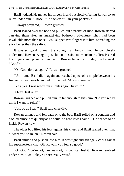Basil nodded. He moved hisfingersin and outslowly, feeling Rowan try to relax under him. "Those little packets still in your pockets?"

"Always prepared," Rowan grunted.

Basil leaned over the bed and pulled out a packet of lube. Rowan started carrying them after an unsatisfying bathroom adventure. They had been invaluable more than once. Basil slipped two fingers into him, spreading the slick better than the saliva.

It was so good to own the young man below him. He completely understood Rowan trying to push his submission more and more. He scissored his fingers and poked around until Rowan let out an undignified squeal. "Good?"

"Oh God, do that again," Rowan groaned.

"Um-hum." Basil did it again and reached up to roll a nipple between his fingers. Rowan nearly arched off the bed. "Are you ready?"

"Yes, yes. I was ready ten minutes ago. Hurry up."

"Okay. Just relax."

Rowan laughed and pulled him up far enough to kiss him. "Do you really think I want to relax?"

"Just do as I say," Basil said cheekily.

Rowan grinned and fell back onto the bed. Basil rolled on a condom and slicked himself as quickly as he could, so hard it was painful. He needed to be inside Rowan *now*.

The older boy lifted his legs against his chest, and Basil leaned over him. "I want you so much," Rowan said.

Basil smiled and pushed into him. It was tight and strangely cool against his superheated skin. "Oh, Rowan, you feel so good."

"Oh God. You're hot, like heat-hot, inside. I can feel it." Rowan trembled under him. "Am I okay? That's really weird."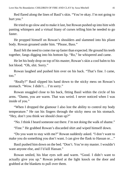Red flared along the lines of Basil's skin. "You're okay. I'm not going to hurt you."

He tried to go slow and to make it last, but Rowan pushed up into him with panting whimpers and a virtual litany of curses telling him he needed to go faster.

He propped himself on Rowan's shoulders and slammed into his pliant body. Rowan groaned under him. "Please, Bass."

Basil felt the need to come rise up faster than expected. He ground histeeth together, fangs digging into his bottom lip. "Ro," he whispered and came.

He let his body drop on top of his master, Rowan's skin a cool balm to his hot blood. "Oh, shit. Sorry."

Rowan laughed and pushed him over on his back. "That's fine. I came, too."

"Really?" Basil slipped his hand down to the sticky mess on Rowan's stomach. "Wow. I didn't… I'm sorry."

Rowan snuggled close to his back, fitting Basil within the circle of his arms. "Damn, you are warm. That was weird. I never noticed when I was inside of you."

"When I dropped the glamour I also lost the ability to control my body temperature." He ran his fingers through the sticky mess on his stomach. "Hey, don't you think we should clean up?"

"No. I think I heard someone out there. I'm not doing the walk of shame."

"Fine." He grabbed Rowan's discarded shirt and wiped himself down.

"Do you want to stay with me?" Rowan suddenly asked. "I don't want to make you do something you don't want. I can give the flask to Hassan or..."

Basil pushed him down on the bed. "Don't. You're my master. I wouldn't want anyone else, and I'd kill Hassan."

Rowan smiled, his blue eyes soft and warm. "Good. I didn't want to actually give you up." Rowan jerked at the light knock on the door and grabbed at the blankets to pull over them.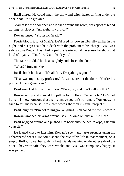Basil glared. He could smell the snow and witch hazel drifting under the door. "Niall," he growled.

Niall eased the door open and looked around the room, dark spots of blood dotting his sleeves. "All right, my prince?"

Rowan tensed. "Professor Grady?"

Faerie blood, just not Niall's. He'd used his powers liberally earlier in the night, and his eyes said he'd dealt with the problem to his charge. Basil was safe, as was Rowan. Basil had hoped the faerie would never need to show that kind of loyalty. "I'm fine, Niall, thank you."

The faerie nodded his head slightly and closed the door.

"What?" Rowan asked.

Basil shook his head. "It's all fine. Everything's good."

"That was my history professor." Rowan stared at the door. "You're his prince? Is he a genie too?"

Basil smacked him with a pillow. "Eww, no, and don't call me that."

Rowan sat up and shoved the pillow to the floor. "What is he? He's not human. I knew someone that anal-retentive couldn't be human. You know, he tried to fail me because I was three words short on my final project?"

Basil laughed. "I'm not telling you anything. You called me the G-word."

Rowan wrapped his arms around Basil. "Come on, just a little hint."

Basil wiggled around and pushed him back onto the bed. "Nope, ask him yourself."

He leaned close to kiss him, Rowan's scent and taste stronger using his unhampered senses. He could spend the rest of his life in that moment, on a stupid, fluffy, flower bed with his best friends roaming on the other side of the door. They were safe, they were whole, and Basil was completely happy. It was perfect.

### **THE END**